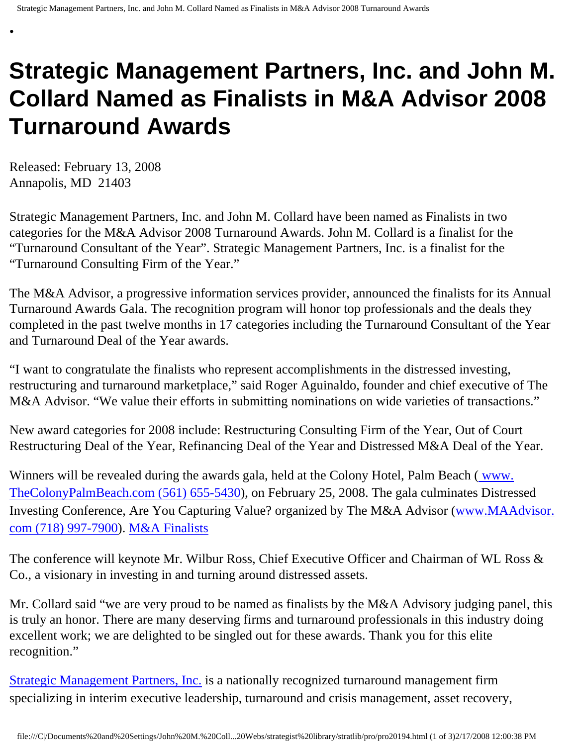# **Strategic Management Partners, Inc. and John M. Collard Named as Finalists in M&A Advisor 2008 Turnaround Awards**

Released: February 13, 2008 Annapolis, MD 21403

•

Strategic Management Partners, Inc. and John M. Collard have been named as Finalists in two categories for the M&A Advisor 2008 Turnaround Awards. John M. Collard is a finalist for the "Turnaround Consultant of the Year". Strategic Management Partners, Inc. is a finalist for the "Turnaround Consulting Firm of the Year."

The M&A Advisor, a progressive information services provider, announced the finalists for its Annual Turnaround Awards Gala. The recognition program will honor top professionals and the deals they completed in the past twelve months in 17 categories including the Turnaround Consultant of the Year and Turnaround Deal of the Year awards.

"I want to congratulate the finalists who represent accomplishments in the distressed investing, restructuring and turnaround marketplace," said Roger Aguinaldo, founder and chief executive of The M&A Advisor. "We value their efforts in submitting nominations on wide varieties of transactions."

New award categories for 2008 include: Restructuring Consulting Firm of the Year, Out of Court Restructuring Deal of the Year, Refinancing Deal of the Year and Distressed M&A Deal of the Year.

Winners will be revealed during the awards gala, held at the Colony Hotel, Palm Beach [\( www.](http://www.thecolonypalmbeach.com/) [TheColonyPalmBeach.com \(561\) 655-5430](http://www.thecolonypalmbeach.com/)), on February 25, 2008. The gala culminates Distressed Investing Conference, Are You Capturing Value? organized by The M&A Advisor ([www.MAAdvisor.](http://www.maadvisor.com/) [com \(718\) 997-7900](http://www.maadvisor.com/)). [M&A Finalists](http://members.aol.com/stratlib/mafinalists.pdf)

The conference will keynote Mr. Wilbur Ross, Chief Executive Officer and Chairman of WL Ross & Co., a visionary in investing in and turning around distressed assets.

Mr. Collard said "we are very proud to be named as finalists by the M&A Advisory judging panel, this is truly an honor. There are many deserving firms and turnaround professionals in this industry doing excellent work; we are delighted to be singled out for these awards. Thank you for this elite recognition."

[Strategic Management Partners, Inc.](http://www.strategicmgtpartners.com/) is a nationally recognized turnaround management firm specializing in interim executive leadership, turnaround and crisis management, asset recovery,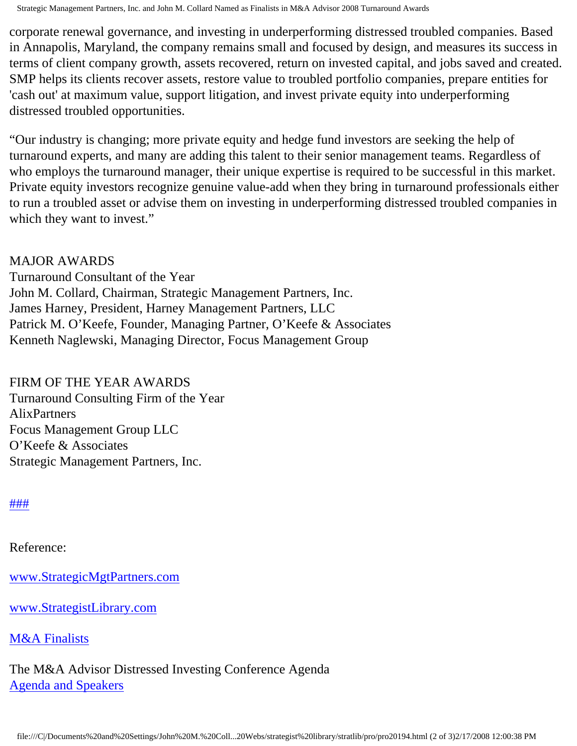Strategic Management Partners, Inc. and John M. Collard Named as Finalists in M&A Advisor 2008 Turnaround Awards

corporate renewal governance, and investing in underperforming distressed troubled companies. Based in Annapolis, Maryland, the company remains small and focused by design, and measures its success in terms of client company growth, assets recovered, return on invested capital, and jobs saved and created. SMP helps its clients recover assets, restore value to troubled portfolio companies, prepare entities for 'cash out' at maximum value, support litigation, and invest private equity into underperforming distressed troubled opportunities.

"Our industry is changing; more private equity and hedge fund investors are seeking the help of turnaround experts, and many are adding this talent to their senior management teams. Regardless of who employs the turnaround manager, their unique expertise is required to be successful in this market. Private equity investors recognize genuine value-add when they bring in turnaround professionals either to run a troubled asset or advise them on investing in underperforming distressed troubled companies in which they want to invest."

#### MAJOR AWARDS

Turnaround Consultant of the Year John M. Collard, Chairman, Strategic Management Partners, Inc. James Harney, President, Harney Management Partners, LLC Patrick M. O'Keefe, Founder, Managing Partner, O'Keefe & Associates Kenneth Naglewski, Managing Director, Focus Management Group

### FIRM OF THE YEAR AWARDS

Turnaround Consulting Firm of the Year AlixPartners Focus Management Group LLC O'Keefe & Associates Strategic Management Partners, Inc.

### [#](http://members.aol.com/Strategist/home.html)[#](http://members.aol.com/Strategist/sitemap.html)[#](http://members.aol.com/Strategist/urllist.txt)

Reference:

[www.StrategicMgtPartners.com](http://www.strategicmgtpartners.com/)

[www.StrategistLibrary.com](http://members.aol.com/stratlib3/libindx.html)

## [M&A Finalists](http://members.aol.com/stratlib/mafinalists.pdf)

The M&A Advisor Distressed Investing Conference Agenda [Agenda and Speakers](http://www.maadvisor.net/feb08/agendafeb2008.htm)